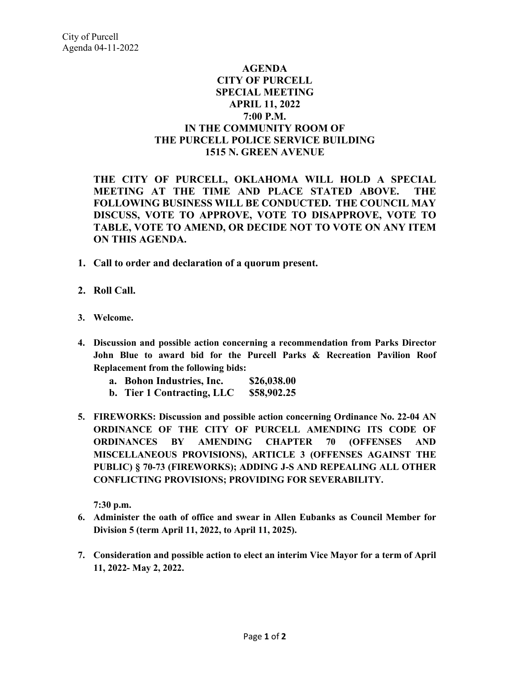## **AGENDA CITY OF PURCELL SPECIAL MEETING APRIL 11, 2022 7:00 P.M. IN THE COMMUNITY ROOM OF THE PURCELL POLICE SERVICE BUILDING 1515 N. GREEN AVENUE**

**THE CITY OF PURCELL, OKLAHOMA WILL HOLD A SPECIAL MEETING AT THE TIME AND PLACE STATED ABOVE. THE FOLLOWING BUSINESS WILL BE CONDUCTED. THE COUNCIL MAY DISCUSS, VOTE TO APPROVE, VOTE TO DISAPPROVE, VOTE TO TABLE, VOTE TO AMEND, OR DECIDE NOT TO VOTE ON ANY ITEM ON THIS AGENDA.** 

- **1. Call to order and declaration of a quorum present.**
- **2. Roll Call.**
- **3. Welcome.**
- **4. Discussion and possible action concerning a recommendation from Parks Director John Blue to award bid for the Purcell Parks & Recreation Pavilion Roof Replacement from the following bids:**
	- **a. Bohon Industries, Inc. \$26,038.00**
	- **b. Tier 1 Contracting, LLC \$58,902.25**
- **5. FIREWORKS: Discussion and possible action concerning Ordinance No. 22-04 AN ORDINANCE OF THE CITY OF PURCELL AMENDING ITS CODE OF ORDINANCES BY AMENDING CHAPTER 70 (OFFENSES AND MISCELLANEOUS PROVISIONS), ARTICLE 3 (OFFENSES AGAINST THE PUBLIC) § 70-73 (FIREWORKS); ADDING J-S AND REPEALING ALL OTHER CONFLICTING PROVISIONS; PROVIDING FOR SEVERABILITY.**

**7:30 p.m.**

- **6. Administer the oath of office and swear in Allen Eubanks as Council Member for Division 5 (term April 11, 2022, to April 11, 2025).**
- **7. Consideration and possible action to elect an interim Vice Mayor for a term of April 11, 2022- May 2, 2022.**